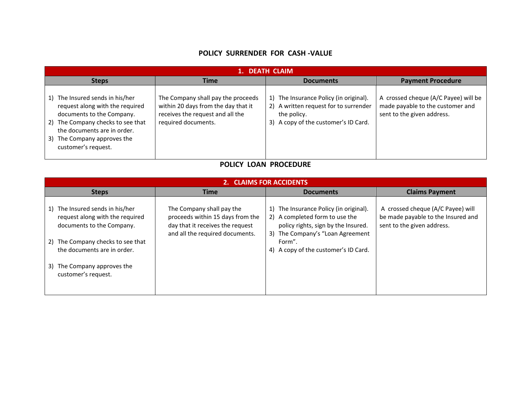## **POLICY SURRENDER FOR CASH -VALUE**

| 1. DEATH CLAIM                                                                                                                                                                                                                  |                                                                                                                                      |                                                                                                                                           |                                                                                                        |  |  |
|---------------------------------------------------------------------------------------------------------------------------------------------------------------------------------------------------------------------------------|--------------------------------------------------------------------------------------------------------------------------------------|-------------------------------------------------------------------------------------------------------------------------------------------|--------------------------------------------------------------------------------------------------------|--|--|
| <b>Steps</b>                                                                                                                                                                                                                    | <b>Time</b>                                                                                                                          | <b>Documents</b>                                                                                                                          | <b>Payment Procedure</b>                                                                               |  |  |
| The Insured sends in his/her<br>1)<br>request along with the required<br>documents to the Company.<br>2) The Company checks to see that<br>the documents are in order.<br>The Company approves the<br>3)<br>customer's request. | The Company shall pay the proceeds<br>within 20 days from the day that it<br>receives the request and all the<br>required documents. | The Insurance Policy (in original).<br>1)<br>2) A written request for to surrender<br>the policy.<br>3) A copy of the customer's ID Card. | A crossed cheque (A/C Payee) will be<br>made payable to the customer and<br>sent to the given address. |  |  |

## **POLICY LOAN PROCEDURE**

| 2. CLAIMS FOR ACCIDENTS                                                                                                                                                                                                   |                                                                                                                                      |                                                                                                                                                                                                       |                                                                                                       |  |  |  |
|---------------------------------------------------------------------------------------------------------------------------------------------------------------------------------------------------------------------------|--------------------------------------------------------------------------------------------------------------------------------------|-------------------------------------------------------------------------------------------------------------------------------------------------------------------------------------------------------|-------------------------------------------------------------------------------------------------------|--|--|--|
| <b>Steps</b>                                                                                                                                                                                                              | <b>Time</b>                                                                                                                          | <b>Documents</b>                                                                                                                                                                                      | <b>Claims Payment</b>                                                                                 |  |  |  |
| 1) The Insured sends in his/her<br>request along with the required<br>documents to the Company.<br>2) The Company checks to see that<br>the documents are in order.<br>3) The Company approves the<br>customer's request. | The Company shall pay the<br>proceeds within 15 days from the<br>day that it receives the request<br>and all the required documents. | 1) The Insurance Policy (in original).<br>2) A completed form to use the<br>policy rights, sign by the Insured.<br>3) The Company's "Loan Agreement<br>Form".<br>4) A copy of the customer's ID Card. | A crossed cheque (A/C Payee) will<br>be made payable to the Insured and<br>sent to the given address. |  |  |  |